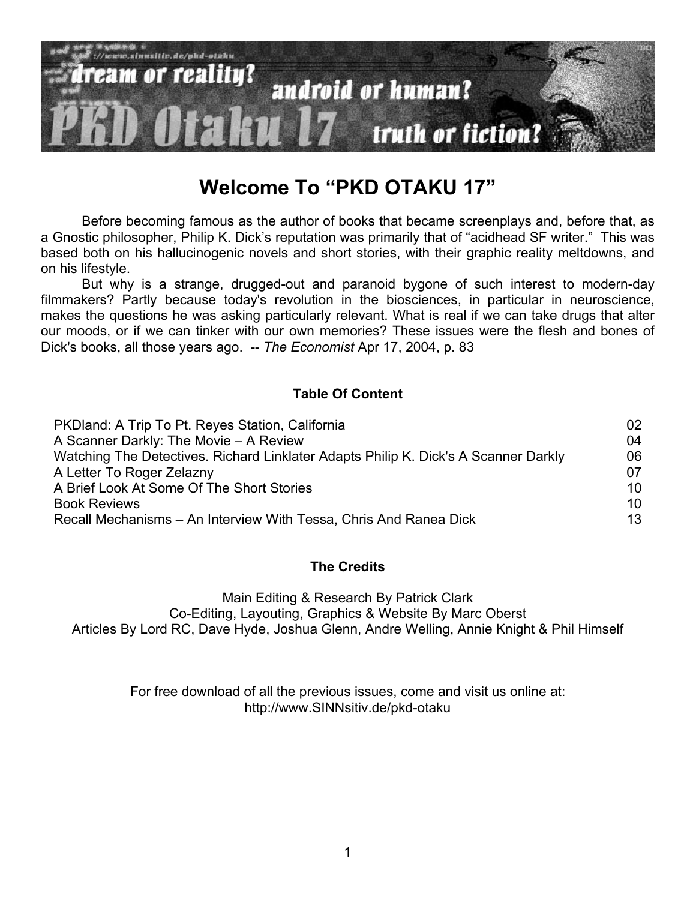

# **Welcome To "PKD OTAKU 17"**

Before becoming famous as the author of books that became screenplays and, before that, as a Gnostic philosopher, Philip K. Dick's reputation was primarily that of "acidhead SF writer." This was based both on his hallucinogenic novels and short stories, with their graphic reality meltdowns, and on his lifestyle.

But why is a strange, drugged-out and paranoid bygone of such interest to modern-day filmmakers? Partly because today's revolution in the biosciences, in particular in neuroscience, makes the questions he was asking particularly relevant. What is real if we can take drugs that alter our moods, or if we can tinker with our own memories? These issues were the flesh and bones of Dick's books, all those years ago. -- *The Economist* Apr 17, 2004, p. 83

### **Table Of Content**

| 02 |
|----|
| 04 |
| 06 |
| 07 |
| 10 |
| 10 |
| 13 |
|    |

#### **The Credits**

Main Editing & Research By Patrick Clark Co-Editing, Layouting, Graphics & Website By Marc Oberst Articles By Lord RC, Dave Hyde, Joshua Glenn, Andre Welling, Annie Knight & Phil Himself

> For free download of all the previous issues, come and visit us online at: http://www.SINNsitiv.de/pkd-otaku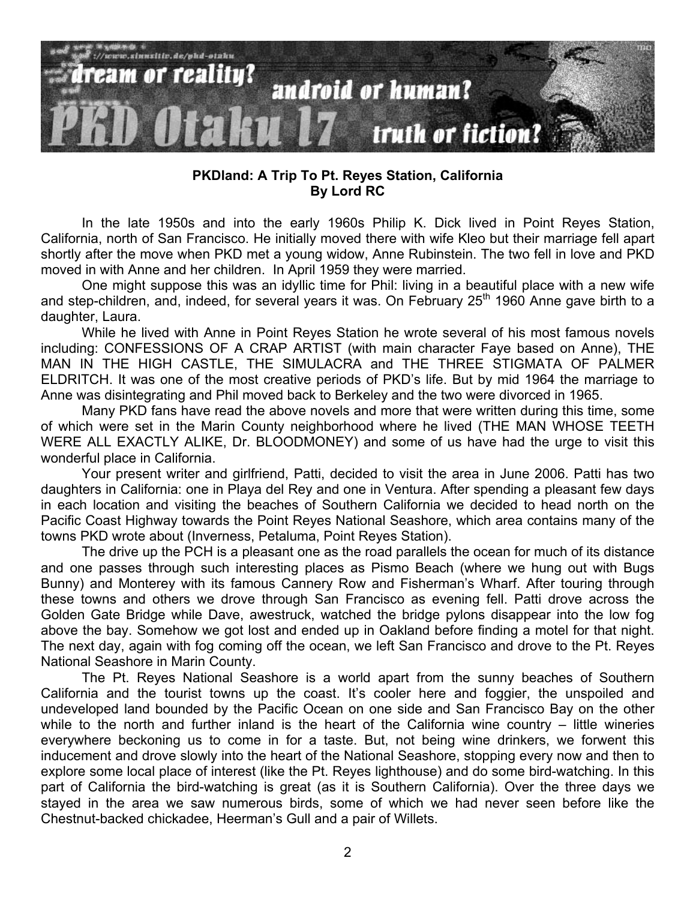

#### **PKDland: A Trip To Pt. Reyes Station, California By Lord RC**

In the late 1950s and into the early 1960s Philip K. Dick lived in Point Reyes Station, California, north of San Francisco. He initially moved there with wife Kleo but their marriage fell apart shortly after the move when PKD met a young widow, Anne Rubinstein. The two fell in love and PKD moved in with Anne and her children. In April 1959 they were married.

One might suppose this was an idyllic time for Phil: living in a beautiful place with a new wife and step-children, and, indeed, for several years it was. On February 25<sup>th</sup> 1960 Anne gave birth to a daughter, Laura.

While he lived with Anne in Point Reyes Station he wrote several of his most famous novels including: CONFESSIONS OF A CRAP ARTIST (with main character Faye based on Anne), THE MAN IN THE HIGH CASTLE, THE SIMULACRA and THE THREE STIGMATA OF PALMER ELDRITCH. It was one of the most creative periods of PKD's life. But by mid 1964 the marriage to Anne was disintegrating and Phil moved back to Berkeley and the two were divorced in 1965.

Many PKD fans have read the above novels and more that were written during this time, some of which were set in the Marin County neighborhood where he lived (THE MAN WHOSE TEETH WERE ALL EXACTLY ALIKE, Dr. BLOODMONEY) and some of us have had the urge to visit this wonderful place in California.

Your present writer and girlfriend, Patti, decided to visit the area in June 2006. Patti has two daughters in California: one in Playa del Rey and one in Ventura. After spending a pleasant few days in each location and visiting the beaches of Southern California we decided to head north on the Pacific Coast Highway towards the Point Reyes National Seashore, which area contains many of the towns PKD wrote about (Inverness, Petaluma, Point Reyes Station).

The drive up the PCH is a pleasant one as the road parallels the ocean for much of its distance and one passes through such interesting places as Pismo Beach (where we hung out with Bugs Bunny) and Monterey with its famous Cannery Row and Fisherman's Wharf. After touring through these towns and others we drove through San Francisco as evening fell. Patti drove across the Golden Gate Bridge while Dave, awestruck, watched the bridge pylons disappear into the low fog above the bay. Somehow we got lost and ended up in Oakland before finding a motel for that night. The next day, again with fog coming off the ocean, we left San Francisco and drove to the Pt. Reyes National Seashore in Marin County.

The Pt. Reyes National Seashore is a world apart from the sunny beaches of Southern California and the tourist towns up the coast. It's cooler here and foggier, the unspoiled and undeveloped land bounded by the Pacific Ocean on one side and San Francisco Bay on the other while to the north and further inland is the heart of the California wine country  $-$  little wineries everywhere beckoning us to come in for a taste. But, not being wine drinkers, we forwent this inducement and drove slowly into the heart of the National Seashore, stopping every now and then to explore some local place of interest (like the Pt. Reyes lighthouse) and do some bird-watching. In this part of California the bird-watching is great (as it is Southern California). Over the three days we stayed in the area we saw numerous birds, some of which we had never seen before like the Chestnut-backed chickadee, Heerman's Gull and a pair of Willets.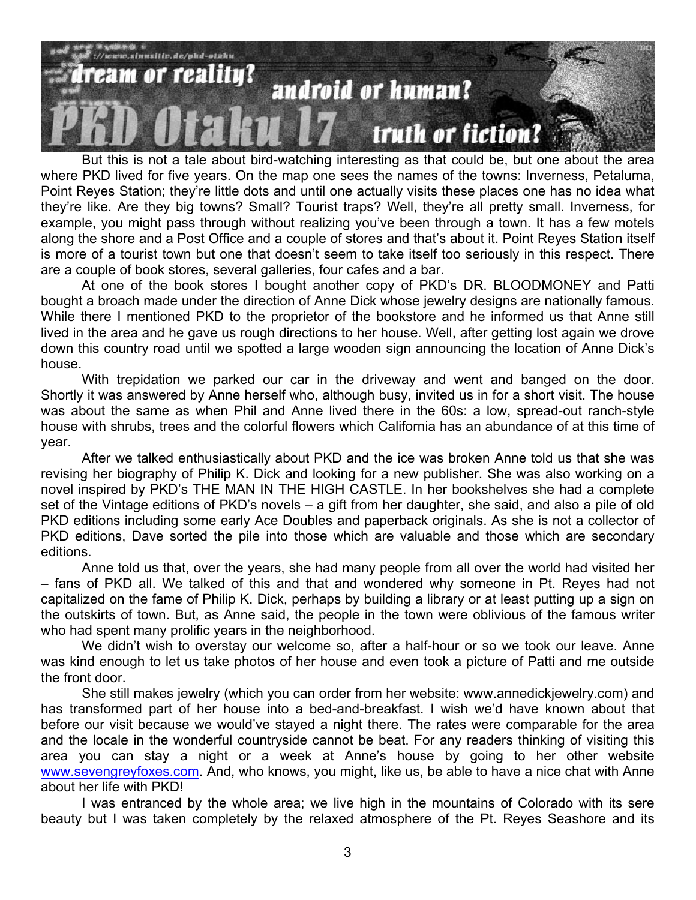

But this is not a tale about bird-watching interesting as that could be, but one about the area where PKD lived for five years. On the map one sees the names of the towns: Inverness, Petaluma, Point Reyes Station; they're little dots and until one actually visits these places one has no idea what theyíre like. Are they big towns? Small? Tourist traps? Well, theyíre all pretty small. Inverness, for example, you might pass through without realizing you've been through a town. It has a few motels along the shore and a Post Office and a couple of stores and that's about it. Point Reyes Station itself is more of a tourist town but one that doesnít seem to take itself too seriously in this respect. There are a couple of book stores, several galleries, four cafes and a bar.

At one of the book stores I bought another copy of PKD's DR. BLOODMONEY and Patti bought a broach made under the direction of Anne Dick whose jewelry designs are nationally famous. While there I mentioned PKD to the proprietor of the bookstore and he informed us that Anne still lived in the area and he gave us rough directions to her house. Well, after getting lost again we drove down this country road until we spotted a large wooden sign announcing the location of Anne Dick's house.

With trepidation we parked our car in the driveway and went and banged on the door. Shortly it was answered by Anne herself who, although busy, invited us in for a short visit. The house was about the same as when Phil and Anne lived there in the 60s: a low, spread-out ranch-style house with shrubs, trees and the colorful flowers which California has an abundance of at this time of year.

After we talked enthusiastically about PKD and the ice was broken Anne told us that she was revising her biography of Philip K. Dick and looking for a new publisher. She was also working on a novel inspired by PKD's THE MAN IN THE HIGH CASTLE. In her bookshelves she had a complete set of the Vintage editions of PKD's novels - a gift from her daughter, she said, and also a pile of old PKD editions including some early Ace Doubles and paperback originals. As she is not a collector of PKD editions, Dave sorted the pile into those which are valuable and those which are secondary editions.

Anne told us that, over the years, she had many people from all over the world had visited her  $-$  fans of PKD all. We talked of this and that and wondered why someone in Pt. Reyes had not capitalized on the fame of Philip K. Dick, perhaps by building a library or at least putting up a sign on the outskirts of town. But, as Anne said, the people in the town were oblivious of the famous writer who had spent many prolific years in the neighborhood.

We didn't wish to overstay our welcome so, after a half-hour or so we took our leave. Anne was kind enough to let us take photos of her house and even took a picture of Patti and me outside the front door.

She still makes jewelry (which you can order from her website: www.annedickjewelry.com) and has transformed part of her house into a bed-and-breakfast. I wish we'd have known about that before our visit because we would've stayed a night there. The rates were comparable for the area and the locale in the wonderful countryside cannot be beat. For any readers thinking of visiting this area you can stay a night or a week at Anneís house by going to her other website www.sevengreyfoxes.com. And, who knows, you might, like us, be able to have a nice chat with Anne about her life with PKD!

I was entranced by the whole area; we live high in the mountains of Colorado with its sere beauty but I was taken completely by the relaxed atmosphere of the Pt. Reyes Seashore and its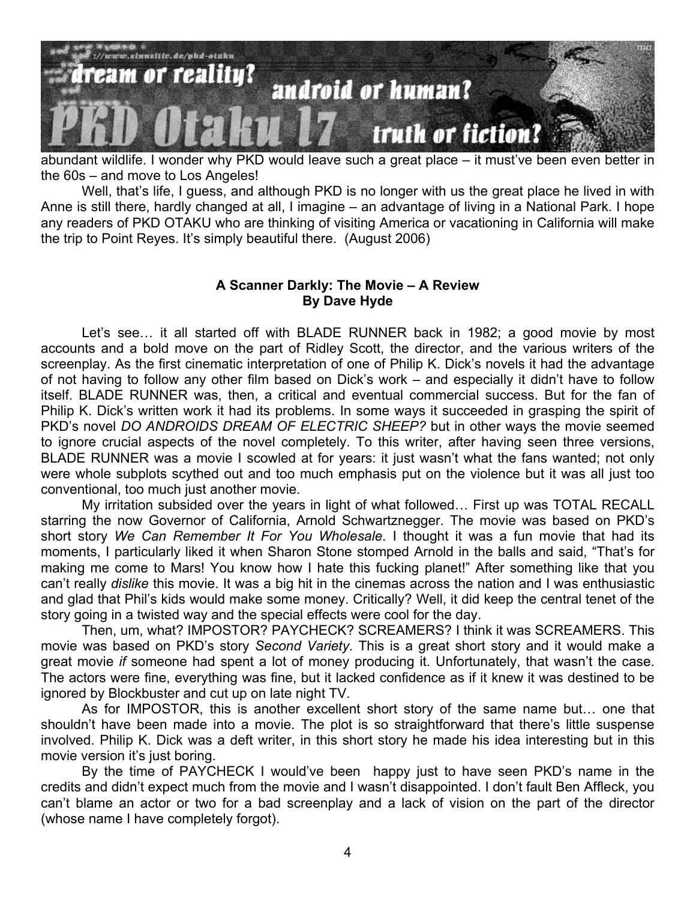

abundant wildlife. I wonder why PKD would leave such a great place – it must've been even better in the  $60s$  – and move to Los Angeles!

Well, that's life, I guess, and although PKD is no longer with us the great place he lived in with Anne is still there, hardly changed at all, I imagine – an advantage of living in a National Park. I hope any readers of PKD OTAKU who are thinking of visiting America or vacationing in California will make the trip to Point Reyes. It's simply beautiful there. (August 2006)

#### A Scanner Darkly: The Movie – A Review **By Dave Hyde**

Let's see... it all started off with BLADE RUNNER back in 1982; a good movie by most accounts and a bold move on the part of Ridley Scott, the director, and the various writers of the screenplay. As the first cinematic interpretation of one of Philip K. Dick's novels it had the advantage of not having to follow any other film based on Dick's work – and especially it didn't have to follow itself. BLADE RUNNER was, then, a critical and eventual commercial success. But for the fan of Philip K. Dickís written work it had its problems. In some ways it succeeded in grasping the spirit of PKD's novel *DO ANDROIDS DREAM OF ELECTRIC SHEEP*? but in other ways the movie seemed to ignore crucial aspects of the novel completely. To this writer, after having seen three versions, BLADE RUNNER was a movie I scowled at for years: it just wasn't what the fans wanted; not only were whole subplots scythed out and too much emphasis put on the violence but it was all just too conventional, too much just another movie.

My irritation subsided over the years in light of what followed... First up was TOTAL RECALL starring the now Governor of California, Arnold Schwartznegger. The movie was based on PKD's short story *We Can Remember It For You Wholesale*. I thought it was a fun movie that had its moments, I particularly liked it when Sharon Stone stomped Arnold in the balls and said, "That's for making me come to Mars! You know how I hate this fucking planet!î After something like that you canít really *dislike* this movie. It was a big hit in the cinemas across the nation and I was enthusiastic and glad that Philís kids would make some money. Critically? Well, it did keep the central tenet of the story going in a twisted way and the special effects were cool for the day.

Then, um, what? IMPOSTOR? PAYCHECK? SCREAMERS? I think it was SCREAMERS. This movie was based on PKDís story *Second Variety*. This is a great short story and it would make a great movie *if* someone had spent a lot of money producing it. Unfortunately, that wasnít the case. The actors were fine, everything was fine, but it lacked confidence as if it knew it was destined to be ignored by Blockbuster and cut up on late night TV.

As for IMPOSTOR, this is another excellent short story of the same name but... one that shouldn't have been made into a movie. The plot is so straightforward that there's little suspense involved. Philip K. Dick was a deft writer, in this short story he made his idea interesting but in this movie version it's just boring.

By the time of PAYCHECK I would've been happy just to have seen PKD's name in the credits and didn't expect much from the movie and I wasn't disappointed. I don't fault Ben Affleck, you canít blame an actor or two for a bad screenplay and a lack of vision on the part of the director (whose name I have completely forgot).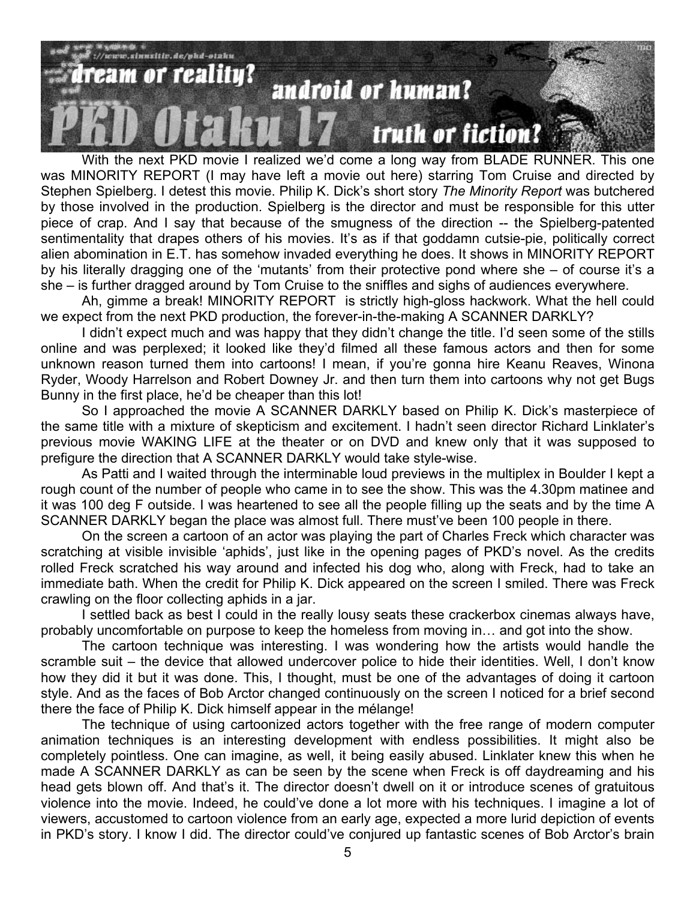

With the next PKD movie I realized we'd come a long way from BLADE RUNNER. This one was MINORITY REPORT (I may have left a movie out here) starring Tom Cruise and directed by Stephen Spielberg. I detest this movie. Philip K. Dickís short story *The Minority Report* was butchered by those involved in the production. Spielberg is the director and must be responsible for this utter piece of crap. And I say that because of the smugness of the direction -- the Spielberg-patented sentimentality that drapes others of his movies. It's as if that goddamn cutsie-pie, politically correct alien abomination in E.T. has somehow invaded everything he does. It shows in MINORITY REPORT by his literally dragging one of the 'mutants' from their protective pond where she  $-$  of course it's a she – is further dragged around by Tom Cruise to the sniffles and sighs of audiences everywhere.

Ah, gimme a break! MINORITY REPORT is strictly high-gloss hackwork. What the hell could we expect from the next PKD production, the forever-in-the-making A SCANNER DARKLY?

I didn't expect much and was happy that they didn't change the title. I'd seen some of the stills online and was perplexed; it looked like theyíd filmed all these famous actors and then for some unknown reason turned them into cartoons! I mean, if you're gonna hire Keanu Reaves, Winona Ryder, Woody Harrelson and Robert Downey Jr. and then turn them into cartoons why not get Bugs Bunny in the first place, he'd be cheaper than this lot!

So I approached the movie A SCANNER DARKLY based on Philip K. Dick's masterpiece of the same title with a mixture of skepticism and excitement. I hadn't seen director Richard Linklater's previous movie WAKING LIFE at the theater or on DVD and knew only that it was supposed to prefigure the direction that A SCANNER DARKLY would take style-wise.

As Patti and I waited through the interminable loud previews in the multiplex in Boulder I kept a rough count of the number of people who came in to see the show. This was the 4.30pm matinee and it was 100 deg F outside. I was heartened to see all the people filling up the seats and by the time A SCANNER DARKLY began the place was almost full. There must've been 100 people in there.

On the screen a cartoon of an actor was playing the part of Charles Freck which character was scratching at visible invisible 'aphids', just like in the opening pages of PKD's novel. As the credits rolled Freck scratched his way around and infected his dog who, along with Freck, had to take an immediate bath. When the credit for Philip K. Dick appeared on the screen I smiled. There was Freck crawling on the floor collecting aphids in a jar.

I settled back as best I could in the really lousy seats these crackerbox cinemas always have, probably uncomfortable on purpose to keep the homeless from moving in... and got into the show.

The cartoon technique was interesting. I was wondering how the artists would handle the scramble suit – the device that allowed undercover police to hide their identities. Well, I don't know how they did it but it was done. This, I thought, must be one of the advantages of doing it cartoon style. And as the faces of Bob Arctor changed continuously on the screen I noticed for a brief second there the face of Philip K. Dick himself appear in the mélange!

The technique of using cartoonized actors together with the free range of modern computer animation techniques is an interesting development with endless possibilities. It might also be completely pointless. One can imagine, as well, it being easily abused. Linklater knew this when he made A SCANNER DARKLY as can be seen by the scene when Freck is off daydreaming and his head gets blown off. And that's it. The director doesn't dwell on it or introduce scenes of gratuitous violence into the movie. Indeed, he could've done a lot more with his techniques. I imagine a lot of viewers, accustomed to cartoon violence from an early age, expected a more lurid depiction of events in PKD's story. I know I did. The director could've conjured up fantastic scenes of Bob Arctor's brain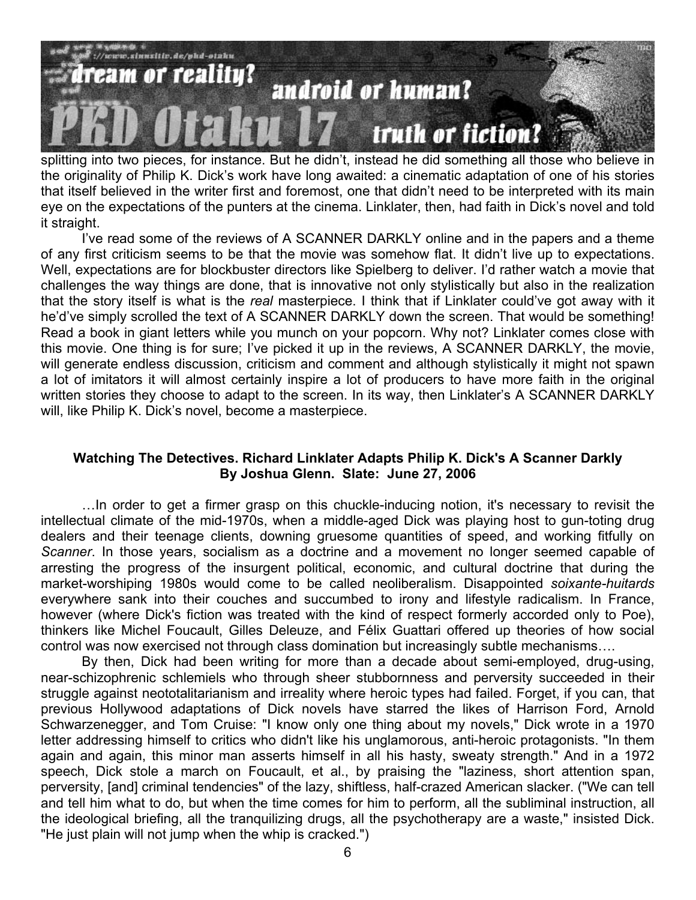

splitting into two pieces, for instance. But he didn't, instead he did something all those who believe in the originality of Philip K. Dickís work have long awaited: a cinematic adaptation of one of his stories that itself believed in the writer first and foremost, one that didnít need to be interpreted with its main eye on the expectations of the punters at the cinema. Linklater, then, had faith in Dick's novel and told it straight.

I've read some of the reviews of A SCANNER DARKLY online and in the papers and a theme of any first criticism seems to be that the movie was somehow flat. It didnít live up to expectations. Well, expectations are for blockbuster directors like Spielberg to deliver. I'd rather watch a movie that challenges the way things are done, that is innovative not only stylistically but also in the realization that the story itself is what is the *real* masterpiece. I think that if Linklater couldíve got away with it he'd've simply scrolled the text of A SCANNER DARKLY down the screen. That would be something! Read a book in giant letters while you munch on your popcorn. Why not? Linklater comes close with this movie. One thing is for sure; I've picked it up in the reviews, A SCANNER DARKLY, the movie, will generate endless discussion, criticism and comment and although stylistically it might not spawn a lot of imitators it will almost certainly inspire a lot of producers to have more faith in the original written stories they choose to adapt to the screen. In its way, then Linklater's A SCANNER DARKLY will, like Philip K. Dick's novel, become a masterpiece.

#### **Watching The Detectives. Richard Linklater Adapts Philip K. Dick's A Scanner Darkly By Joshua Glenn. Slate: June 27, 2006**

I... In order to get a firmer grasp on this chuckle-inducing notion, it's necessary to revisit the intellectual climate of the mid-1970s, when a middle-aged Dick was playing host to gun-toting drug dealers and their teenage clients, downing gruesome quantities of speed, and working fitfully on *Scanner*. In those years, socialism as a doctrine and a movement no longer seemed capable of arresting the progress of the insurgent political, economic, and cultural doctrine that during the market-worshiping 1980s would come to be called neoliberalism. Disappointed *soixante-huitards* everywhere sank into their couches and succumbed to irony and lifestyle radicalism. In France, however (where Dick's fiction was treated with the kind of respect formerly accorded only to Poe), thinkers like Michel Foucault, Gilles Deleuze, and FÈlix Guattari offered up theories of how social control was now exercised not through class domination but increasingly subtle mechanisms....

By then, Dick had been writing for more than a decade about semi-employed, drug-using, near-schizophrenic schlemiels who through sheer stubbornness and perversity succeeded in their struggle against neototalitarianism and irreality where heroic types had failed. Forget, if you can, that previous Hollywood adaptations of Dick novels have starred the likes of Harrison Ford, Arnold Schwarzenegger, and Tom Cruise: "I know only one thing about my novels," Dick wrote in a 1970 letter addressing himself to critics who didn't like his unglamorous, anti-heroic protagonists. "In them again and again, this minor man asserts himself in all his hasty, sweaty strength." And in a 1972 speech, Dick stole a march on Foucault, et al., by praising the "laziness, short attention span, perversity, [and] criminal tendencies" of the lazy, shiftless, half-crazed American slacker. ("We can tell and tell him what to do, but when the time comes for him to perform, all the subliminal instruction, all the ideological briefing, all the tranquilizing drugs, all the psychotherapy are a waste," insisted Dick. "He just plain will not jump when the whip is cracked.")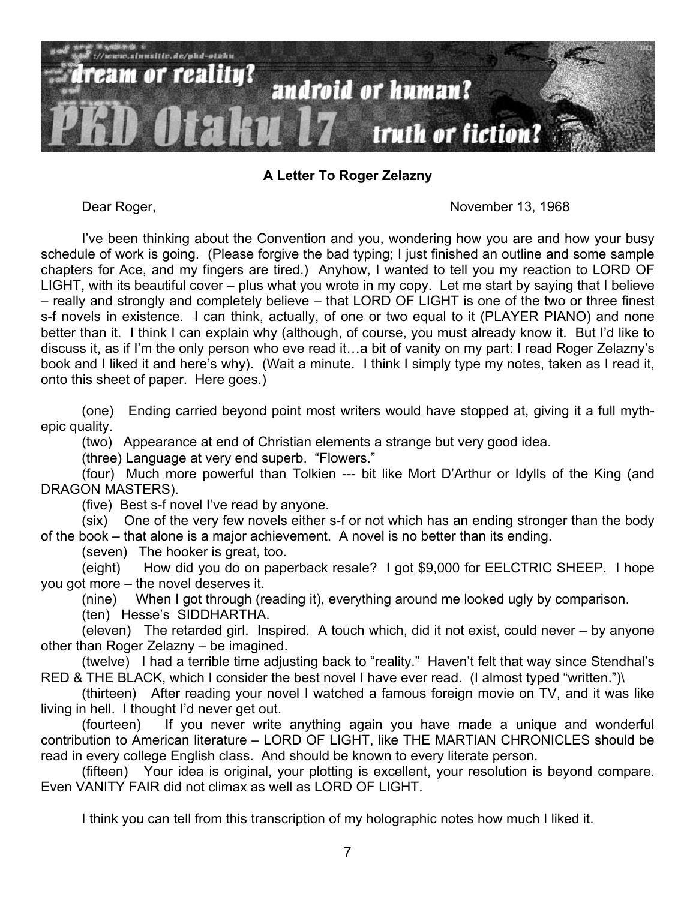

## **A Letter To Roger Zelazny**

Dear Roger, November 13, 1968

I've been thinking about the Convention and you, wondering how you are and how your busy schedule of work is going. (Please forgive the bad typing; I just finished an outline and some sample chapters for Ace, and my fingers are tired.) Anyhow, I wanted to tell you my reaction to LORD OF LIGHT, with its beautiful cover  $-$  plus what you wrote in my copy. Let me start by saying that I believe - really and strongly and completely believe - that LORD OF LIGHT is one of the two or three finest s-f novels in existence. I can think, actually, of one or two equal to it (PLAYER PIANO) and none better than it. I think I can explain why (although, of course, you must already know it. But I'd like to discuss it, as if I'm the only person who eve read it...a bit of vanity on my part: I read Roger Zelazny's book and I liked it and here's why). (Wait a minute. I think I simply type my notes, taken as I read it, onto this sheet of paper. Here goes.)

(one) Ending carried beyond point most writers would have stopped at, giving it a full mythepic quality.

(two) Appearance at end of Christian elements a strange but very good idea.

(three) Language at very end superb. "Flowers."

(four) Much more powerful than Tolkien --- bit like Mort DíArthur or Idylls of the King (and DRAGON MASTERS).

(five) Best s-f novel I've read by anyone.

(six) One of the very few novels either s-f or not which has an ending stronger than the body of the book – that alone is a major achievement. A novel is no better than its ending.

(seven) The hooker is great, too.

(eight) How did you do on paperback resale? I got \$9,000 for EELCTRIC SHEEP. I hope you got more  $-$  the novel deserves it.

(nine) When I got through (reading it), everything around me looked ugly by comparison.

(ten) Hesse's SIDDHARTHA.

(eleven) The retarded girl. Inspired. A touch which, did it not exist, could never  $-$  by anyone other than Roger Zelazny  $-$  be imagined.

(twelve) I had a terrible time adjusting back to "reality." Haven't felt that way since Stendhal's RED & THE BLACK, which I consider the best novel I have ever read. (I almost typed "written.") $\langle$ 

(thirteen) After reading your novel I watched a famous foreign movie on TV, and it was like living in hell. I thought Iíd never get out.

(fourteen) If you never write anything again you have made a unique and wonderful contribution to American literature – LORD OF LIGHT, like THE MARTIAN CHRONICLES should be read in every college English class. And should be known to every literate person.

(fifteen) Your idea is original, your plotting is excellent, your resolution is beyond compare. Even VANITY FAIR did not climax as well as LORD OF LIGHT.

I think you can tell from this transcription of my holographic notes how much I liked it.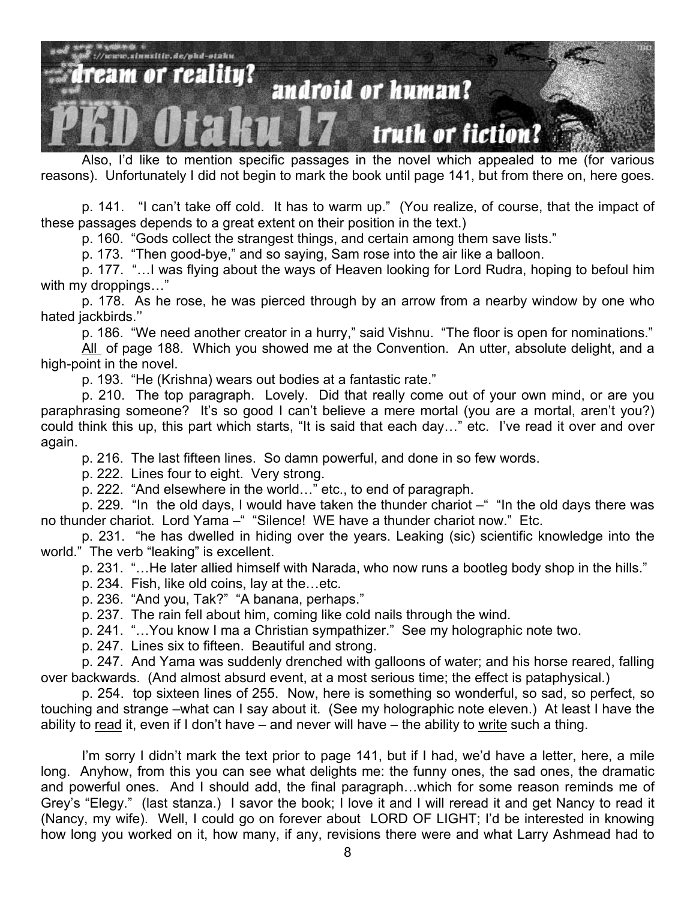

Also, Iíd like to mention specific passages in the novel which appealed to me (for various reasons). Unfortunately I did not begin to mark the book until page 141, but from there on, here goes.

p. 141. "I can't take off cold. It has to warm up." (You realize, of course, that the impact of these passages depends to a great extent on their position in the text.)

p. 160. "Gods collect the strangest things, and certain among them save lists."

p. 173. "Then good-bye," and so saying, Sam rose into the air like a balloon.

p. 177. "... I was flying about the ways of Heaven looking for Lord Rudra, hoping to befoul him with my droppings $\ldots$ "

p. 178. As he rose, he was pierced through by an arrow from a nearby window by one who hated jackbirds."

p. 186. "We need another creator in a hurry," said Vishnu. "The floor is open for nominations." All of page 188. Which you showed me at the Convention. An utter, absolute delight, and a high-point in the novel.

p. 193. He (Krishna) wears out bodies at a fantastic rate."

p. 210. The top paragraph. Lovely. Did that really come out of your own mind, or are you paraphrasing someone? It's so good I can't believe a mere mortal (you are a mortal, aren't you?) could think this up, this part which starts, "It is said that each day..." etc. I've read it over and over again.

p. 216. The last fifteen lines. So damn powerful, and done in so few words.

p. 222. Lines four to eight. Very strong.

p. 222. "And elsewhere in the world..." etc., to end of paragraph.

p. 229. "In the old days, I would have taken the thunder chariot  $-$ " "In the old days there was no thunder chariot. Lord Yama – "Silence! WE have a thunder chariot now." Etc.

p. 231. "he has dwelled in hiding over the years. Leaking (sic) scientific knowledge into the world." The verb "leaking" is excellent.

p. 231. "...He later allied himself with Narada, who now runs a bootleg body shop in the hills."

- $p. 234.$  Fish, like old coins, lay at the...etc.
- p. 236. "And you, Tak?" "A banana, perhaps."
- p. 237. The rain fell about him, coming like cold nails through the wind.
- p. 241. "... You know I ma a Christian sympathizer." See my holographic note two.

p. 247. Lines six to fifteen. Beautiful and strong.

p. 247. And Yama was suddenly drenched with galloons of water; and his horse reared, falling over backwards. (And almost absurd event, at a most serious time; the effect is pataphysical.)

p. 254. top sixteen lines of 255. Now, here is something so wonderful, so sad, so perfect, so touching and strange –what can I say about it. (See my holographic note eleven.) At least I have the ability to read it, even if I don't have  $-$  and never will have  $-$  the ability to write such a thing.

I'm sorry I didn't mark the text prior to page 141, but if I had, we'd have a letter, here, a mile long. Anyhow, from this you can see what delights me: the funny ones, the sad ones, the dramatic and powerful ones. And I should add, the final paragraph...which for some reason reminds me of Grey's "Elegy." (last stanza.) I savor the book; I love it and I will reread it and get Nancy to read it (Nancy, my wife). Well, I could go on forever about LORD OF LIGHT; Iíd be interested in knowing how long you worked on it, how many, if any, revisions there were and what Larry Ashmead had to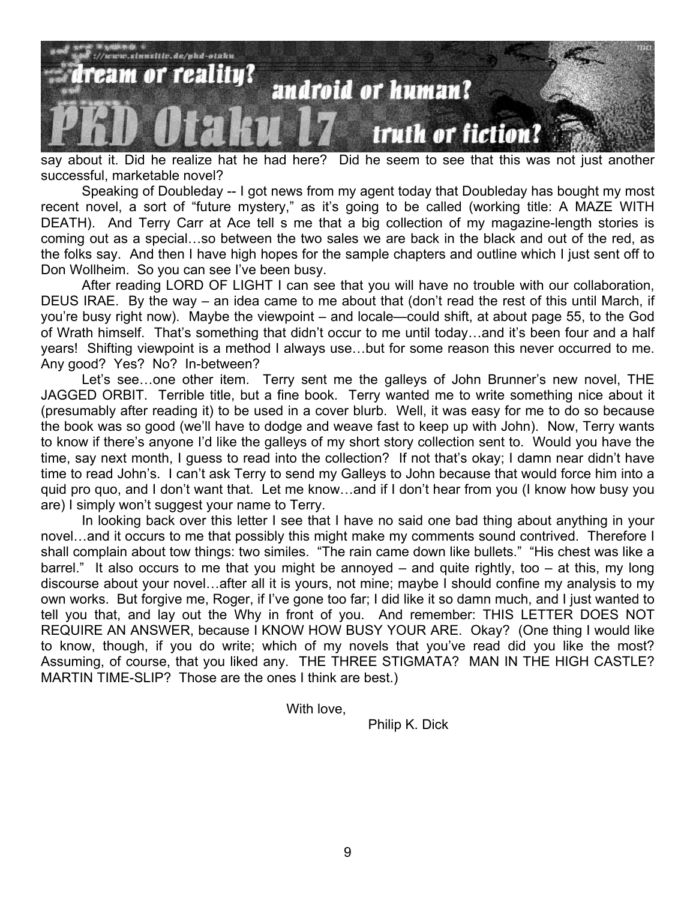

say about it. Did he realize hat he had here? Did he seem to see that this was not just another successful, marketable novel?

Speaking of Doubleday -- I got news from my agent today that Doubleday has bought my most recent novel, a sort of "future mystery," as it's going to be called (working title: A MAZE WITH DEATH). And Terry Carr at Ace tell s me that a big collection of my magazine-length stories is coming out as a special...so between the two sales we are back in the black and out of the red, as the folks say. And then I have high hopes for the sample chapters and outline which I just sent off to Don Wollheim. So you can see I've been busy.

After reading LORD OF LIGHT I can see that you will have no trouble with our collaboration, DEUS IRAE. By the way  $-$  an idea came to me about that (don't read the rest of this until March, if you're busy right now). Maybe the viewpoint  $-$  and locale—could shift, at about page 55, to the God of Wrath himself. That's something that didn't occur to me until today...and it's been four and a half years! Shifting viewpoint is a method I always use...but for some reason this never occurred to me. Any good? Yes? No? In-between?

Let's see...one other item. Terry sent me the galleys of John Brunner's new novel, THE JAGGED ORBIT. Terrible title, but a fine book. Terry wanted me to write something nice about it (presumably after reading it) to be used in a cover blurb. Well, it was easy for me to do so because the book was so good (weíll have to dodge and weave fast to keep up with John). Now, Terry wants to know if there's anyone I'd like the galleys of my short story collection sent to. Would you have the time, say next month. I quess to read into the collection? If not that's okay: I damn near didn't have time to read John's. I can't ask Terry to send my Galleys to John because that would force him into a quid pro quo, and I don't want that. Let me know...and if I don't hear from you (I know how busy you are) I simply won't suggest your name to Terry.

In looking back over this letter I see that I have no said one bad thing about anything in your novel...and it occurs to me that possibly this might make my comments sound contrived. Therefore I shall complain about tow things: two similes. "The rain came down like bullets." "His chest was like a barrel." It also occurs to me that you might be annoyed  $-$  and quite rightly, too  $-$  at this, my long discourse about your novel...after all it is yours, not mine; maybe I should confine my analysis to my own works. But forgive me, Roger, if Iíve gone too far; I did like it so damn much, and I just wanted to tell you that, and lay out the Why in front of you. And remember: THIS LETTER DOES NOT REQUIRE AN ANSWER, because I KNOW HOW BUSY YOUR ARE. Okay? (One thing I would like to know, though, if you do write; which of my novels that you've read did you like the most? Assuming, of course, that you liked any. THE THREE STIGMATA? MAN IN THE HIGH CASTLE? MARTIN TIME-SLIP? Those are the ones I think are best.)

With love.

Philip K. Dick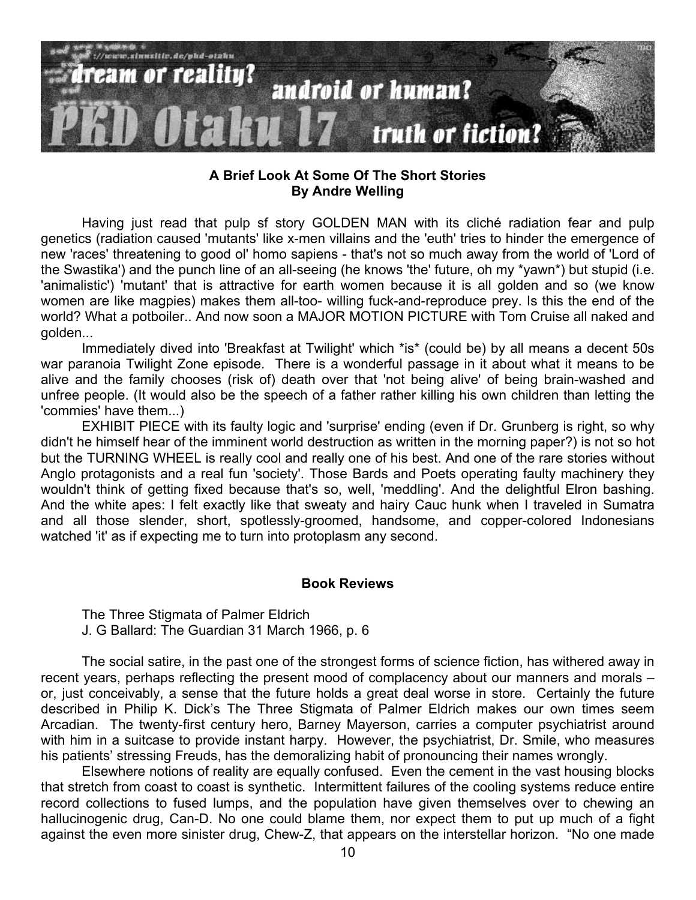

## **A Brief Look At Some Of The Short Stories By Andre Welling**

Having just read that pulp sf story GOLDEN MAN with its cliché radiation fear and pulp genetics (radiation caused 'mutants' like x-men villains and the 'euth' tries to hinder the emergence of new 'races' threatening to good ol' homo sapiens - that's not so much away from the world of 'Lord of the Swastika') and the punch line of an all-seeing (he knows 'the' future, oh my \*yawn\*) but stupid (i.e. 'animalistic') 'mutant' that is attractive for earth women because it is all golden and so (we know women are like magpies) makes them all-too- willing fuck-and-reproduce prey. Is this the end of the world? What a potboiler.. And now soon a MAJOR MOTION PICTURE with Tom Cruise all naked and golden...

Immediately dived into 'Breakfast at Twilight' which \*is\* (could be) by all means a decent 50s war paranoia Twilight Zone episode. There is a wonderful passage in it about what it means to be alive and the family chooses (risk of) death over that 'not being alive' of being brain-washed and unfree people. (It would also be the speech of a father rather killing his own children than letting the 'commies' have them...)

EXHIBIT PIECE with its faulty logic and 'surprise' ending (even if Dr. Grunberg is right, so why didn't he himself hear of the imminent world destruction as written in the morning paper?) is not so hot but the TURNING WHEEL is really cool and really one of his best. And one of the rare stories without Anglo protagonists and a real fun 'society'. Those Bards and Poets operating faulty machinery they wouldn't think of getting fixed because that's so, well, 'meddling'. And the delightful Elron bashing. And the white apes: I felt exactly like that sweaty and hairy Cauc hunk when I traveled in Sumatra and all those slender, short, spotlessly-groomed, handsome, and copper-colored Indonesians watched 'it' as if expecting me to turn into protoplasm any second.

### **Book Reviews**

The Three Stigmata of Palmer Eldrich J. G Ballard: The Guardian 31 March 1966, p. 6

The social satire, in the past one of the strongest forms of science fiction, has withered away in recent years, perhaps reflecting the present mood of complacency about our manners and morals – or, just conceivably, a sense that the future holds a great deal worse in store. Certainly the future described in Philip K. Dickís The Three Stigmata of Palmer Eldrich makes our own times seem Arcadian. The twenty-first century hero, Barney Mayerson, carries a computer psychiatrist around with him in a suitcase to provide instant harpy. However, the psychiatrist, Dr. Smile, who measures his patients' stressing Freuds, has the demoralizing habit of pronouncing their names wrongly.

Elsewhere notions of reality are equally confused. Even the cement in the vast housing blocks that stretch from coast to coast is synthetic. Intermittent failures of the cooling systems reduce entire record collections to fused lumps, and the population have given themselves over to chewing an hallucinogenic drug, Can-D. No one could blame them, nor expect them to put up much of a fight against the even more sinister drug, Chew-Z, that appears on the interstellar horizon. "No one made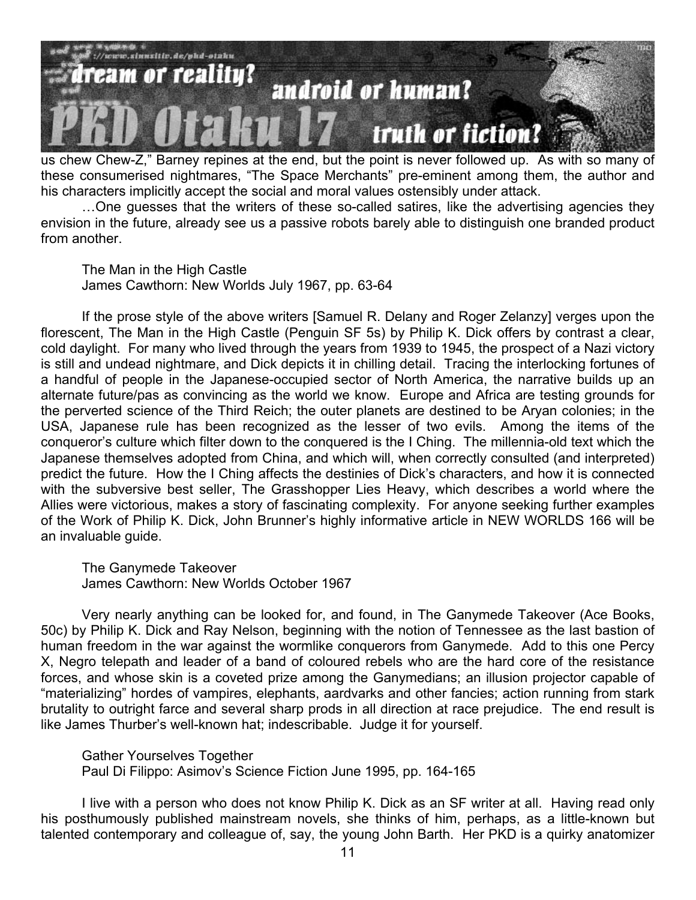

us chew Chew-Z," Barney repines at the end, but the point is never followed up. As with so many of these consumerised nightmares, "The Space Merchants" pre-eminent among them, the author and his characters implicitly accept the social and moral values ostensibly under attack.

... One quesses that the writers of these so-called satires, like the advertising agencies they envision in the future, already see us a passive robots barely able to distinguish one branded product from another

The Man in the High Castle James Cawthorn: New Worlds July 1967, pp. 63-64

If the prose style of the above writers [Samuel R. Delany and Roger Zelanzy] verges upon the florescent, The Man in the High Castle (Penguin SF 5s) by Philip K. Dick offers by contrast a clear, cold daylight. For many who lived through the years from 1939 to 1945, the prospect of a Nazi victory is still and undead nightmare, and Dick depicts it in chilling detail. Tracing the interlocking fortunes of a handful of people in the Japanese-occupied sector of North America, the narrative builds up an alternate future/pas as convincing as the world we know. Europe and Africa are testing grounds for the perverted science of the Third Reich; the outer planets are destined to be Aryan colonies; in the USA, Japanese rule has been recognized as the lesser of two evils. Among the items of the conqueror's culture which filter down to the conquered is the I Ching. The millennia-old text which the Japanese themselves adopted from China, and which will, when correctly consulted (and interpreted) predict the future. How the I Ching affects the destinies of Dickís characters, and how it is connected with the subversive best seller, The Grasshopper Lies Heavy, which describes a world where the Allies were victorious, makes a story of fascinating complexity. For anyone seeking further examples of the Work of Philip K. Dick, John Brunnerís highly informative article in NEW WORLDS 166 will be an invaluable guide.

The Ganymede Takeover James Cawthorn: New Worlds October 1967

Very nearly anything can be looked for, and found, in The Ganymede Takeover (Ace Books, 50c) by Philip K. Dick and Ray Nelson, beginning with the notion of Tennessee as the last bastion of human freedom in the war against the wormlike conquerors from Ganymede. Add to this one Percy X, Negro telepath and leader of a band of coloured rebels who are the hard core of the resistance forces, and whose skin is a coveted prize among the Ganymedians; an illusion projector capable of ìmaterializingî hordes of vampires, elephants, aardvarks and other fancies; action running from stark brutality to outright farce and several sharp prods in all direction at race prejudice. The end result is like James Thurber's well-known hat; indescribable. Judge it for yourself.

#### Gather Yourselves Together

Paul Di Filippo: Asimov's Science Fiction June 1995, pp. 164-165

I live with a person who does not know Philip K. Dick as an SF writer at all. Having read only his posthumously published mainstream novels, she thinks of him, perhaps, as a little-known but talented contemporary and colleague of, say, the young John Barth. Her PKD is a quirky anatomizer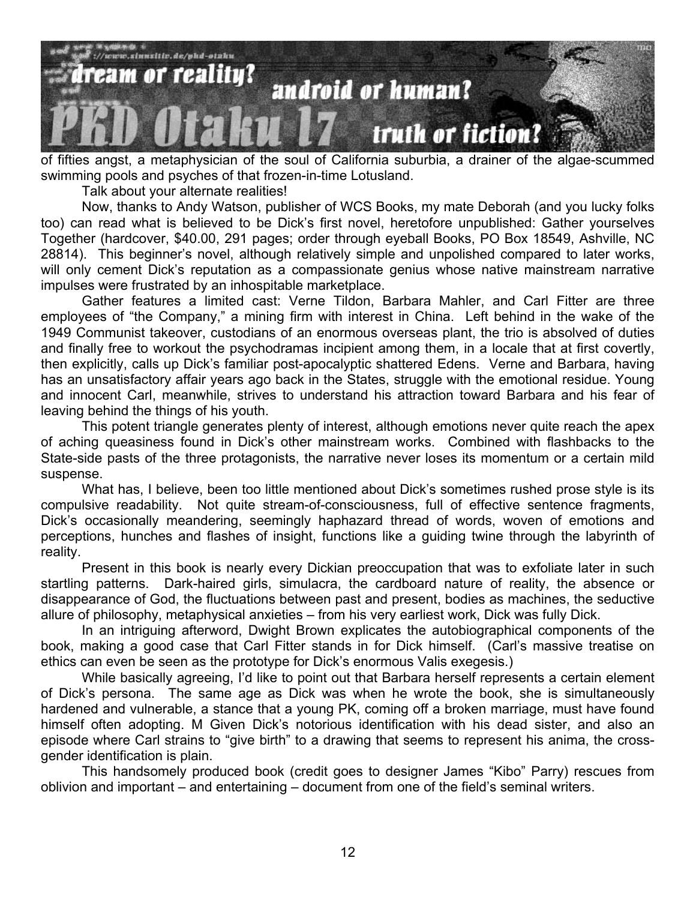

of fifties angst, a metaphysician of the soul of California suburbia, a drainer of the algae-scummed swimming pools and psyches of that frozen-in-time Lotusland.

Talk about your alternate realities!

Now, thanks to Andy Watson, publisher of WCS Books, my mate Deborah (and you lucky folks too) can read what is believed to be Dickís first novel, heretofore unpublished: Gather yourselves Together (hardcover, \$40.00, 291 pages; order through eyeball Books, PO Box 18549, Ashville, NC 28814). This beginner's novel, although relatively simple and unpolished compared to later works, will only cement Dick's reputation as a compassionate genius whose native mainstream narrative impulses were frustrated by an inhospitable marketplace.

Gather features a limited cast: Verne Tildon, Barbara Mahler, and Carl Fitter are three employees of "the Company," a mining firm with interest in China. Left behind in the wake of the 1949 Communist takeover, custodians of an enormous overseas plant, the trio is absolved of duties and finally free to workout the psychodramas incipient among them, in a locale that at first covertly, then explicitly, calls up Dickís familiar post-apocalyptic shattered Edens. Verne and Barbara, having has an unsatisfactory affair years ago back in the States, struggle with the emotional residue. Young and innocent Carl, meanwhile, strives to understand his attraction toward Barbara and his fear of leaving behind the things of his youth.

This potent triangle generates plenty of interest, although emotions never quite reach the apex of aching queasiness found in Dickís other mainstream works. Combined with flashbacks to the State-side pasts of the three protagonists, the narrative never loses its momentum or a certain mild suspense.

What has, I believe, been too little mentioned about Dick's sometimes rushed prose style is its compulsive readability. Not quite stream-of-consciousness, full of effective sentence fragments, Dickís occasionally meandering, seemingly haphazard thread of words, woven of emotions and perceptions, hunches and flashes of insight, functions like a guiding twine through the labyrinth of reality.

Present in this book is nearly every Dickian preoccupation that was to exfoliate later in such startling patterns. Dark-haired girls, simulacra, the cardboard nature of reality, the absence or disappearance of God, the fluctuations between past and present, bodies as machines, the seductive allure of philosophy, metaphysical anxieties – from his very earliest work, Dick was fully Dick.

In an intriguing afterword, Dwight Brown explicates the autobiographical components of the book, making a good case that Carl Fitter stands in for Dick himself. (Carl's massive treatise on ethics can even be seen as the prototype for Dickís enormous Valis exegesis.)

While basically agreeing, I'd like to point out that Barbara herself represents a certain element of Dickís persona. The same age as Dick was when he wrote the book, she is simultaneously hardened and vulnerable, a stance that a young PK, coming off a broken marriage, must have found himself often adopting. M Given Dick's notorious identification with his dead sister, and also an episode where Carl strains to "give birth" to a drawing that seems to represent his anima, the crossgender identification is plain.

This handsomely produced book (credit goes to designer James "Kibo" Parry) rescues from oblivion and important  $-$  and entertaining  $-$  document from one of the field's seminal writers.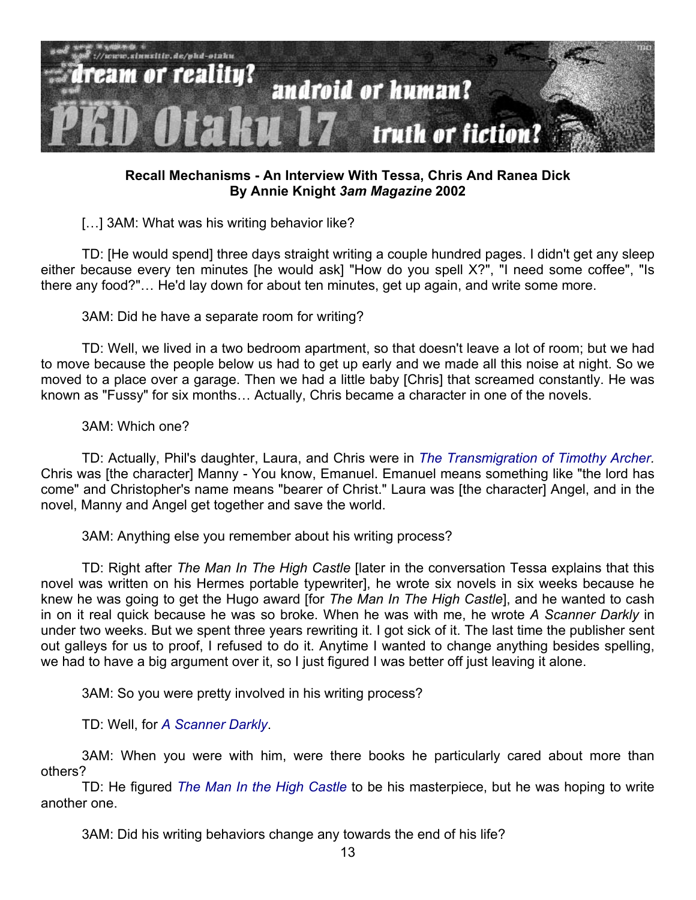

## **Recall Mechanisms - An Interview With Tessa, Chris And Ranea Dick By Annie Knight** *3am Magazine* **2002**

[...] 3AM: What was his writing behavior like?

TD: [He would spend] three days straight writing a couple hundred pages. I didn't get any sleep either because every ten minutes [he would ask] "How do you spell X?", "I need some coffee", "Is there any food?"... He'd lay down for about ten minutes, get up again, and write some more.

3AM: Did he have a separate room for writing?

TD: Well, we lived in a two bedroom apartment, so that doesn't leave a lot of room; but we had to move because the people below us had to get up early and we made all this noise at night. So we moved to a place over a garage. Then we had a little baby [Chris] that screamed constantly. He was known as "Fussy" for six months... Actually, Chris became a character in one of the novels.

#### 3AM: Which one?

TD: Actually, Phil's daughter, Laura, and Chris were in *[The Transmigration of Timothy Archer.](http://home.earthlink.net/~cjk5/dick.html)* Chris was [the character] Manny - You know, Emanuel. Emanuel means something like "the lord has come" and Christopher's name means "bearer of Christ." Laura was [the character] Angel, and in the novel, Manny and Angel get together and save the world.

3AM: Anything else you remember about his writing process?

TD: Right after *The Man In The High Castle* [later in the conversation Tessa explains that this novel was written on his Hermes portable typewriter], he wrote six novels in six weeks because he knew he was going to get the Hugo award [for *The Man In The High Castle*], and he wanted to cash in on it real quick because he was so broke. When he was with me, he wrote *A Scanner Darkly* in under two weeks. But we spent three years rewriting it. I got sick of it. The last time the publisher sent out galleys for us to proof, I refused to do it. Anytime I wanted to change anything besides spelling, we had to have a big argument over it, so I just figured I was better off just leaving it alone.

3AM: So you were pretty involved in his writing process?

TD: Well, for *[A Scanner Darkly](http://www.epinions.com/book_mu-2352091)*.

3AM: When you were with him, were there books he particularly cared about more than others?

TD: He figured *[The Man In the High Castle](http://www.alphane.com/moon/laura-tmithc.htm)* to be his masterpiece, but he was hoping to write another one.

3AM: Did his writing behaviors change any towards the end of his life?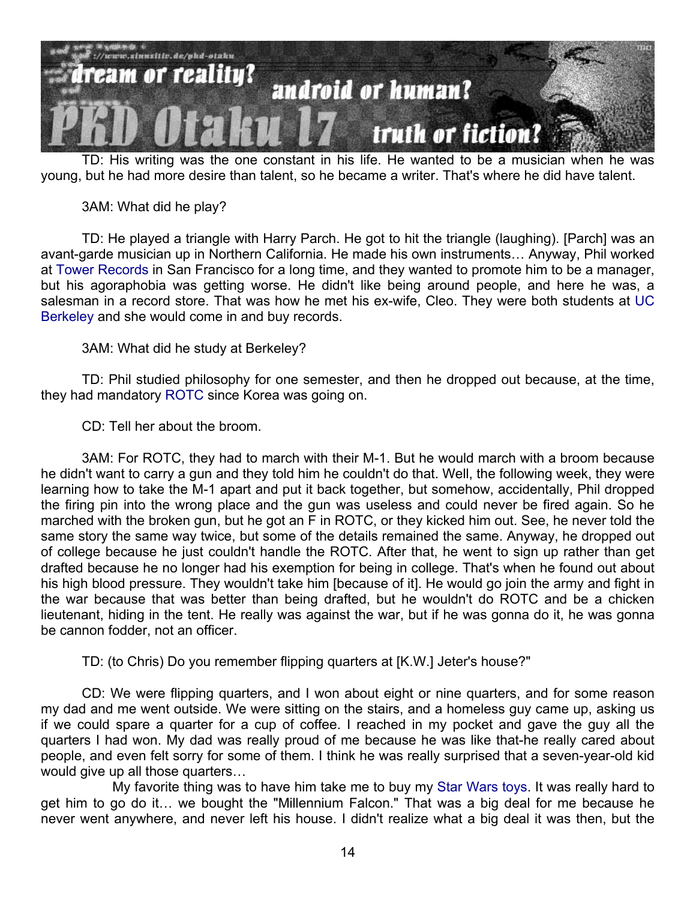

TD: His writing was the one constant in his life. He wanted to be a musician when he was young, but he had more desire than talent, so he became a writer. That's where he did have talent.

### 3AM: What did he play?

TD: He played a triangle with Harry Parch. He got to hit the triangle (laughing). [Parch] was an avant-garde musician up in Northern California. He made his own instruments... Anyway, Phil worked at [Tower Records](http://www.towerrecords.com/) in San Francisco for a long time, and they wanted to promote him to be a manager, but his agoraphobia was getting worse. He didn't like being around people, and here he was, a salesman in a record store. That was how he met his ex-wife, Cleo. They were both students at UC [Berkeley](http://www.berkerley.edu/) and she would come in and buy records.

3AM: What did he study at Berkeley?

TD: Phil studied philosophy for one semester, and then he dropped out because, at the time, they had mandatory [ROTC](http://www.armyrotc.com/) since Korea was going on.

CD: Tell her about the broom.

3AM: For ROTC, they had to march with their M-1. But he would march with a broom because he didn't want to carry a gun and they told him he couldn't do that. Well, the following week, they were learning how to take the M-1 apart and put it back together, but somehow, accidentally, Phil dropped the firing pin into the wrong place and the gun was useless and could never be fired again. So he marched with the broken gun, but he got an F in ROTC, or they kicked him out. See, he never told the same story the same way twice, but some of the details remained the same. Anyway, he dropped out of college because he just couldn't handle the ROTC. After that, he went to sign up rather than get drafted because he no longer had his exemption for being in college. That's when he found out about his high blood pressure. They wouldn't take him [because of it]. He would go join the army and fight in the war because that was better than being drafted, but he wouldn't do ROTC and be a chicken lieutenant, hiding in the tent. He really was against the war, but if he was gonna do it, he was gonna be cannon fodder, not an officer.

TD: (to Chris) Do you remember flipping quarters at [K.W.] Jeter's house?"

CD: We were flipping quarters, and I won about eight or nine quarters, and for some reason my dad and me went outside. We were sitting on the stairs, and a homeless guy came up, asking us if we could spare a quarter for a cup of coffee. I reached in my pocket and gave the guy all the quarters I had won. My dad was really proud of me because he was like that-he really cared about people, and even felt sorry for some of them. I think he was really surprised that a seven-year-old kid would give up all those quarters...

 My favorite thing was to have him take me to buy my [Star Wars toys](http://www.maxpages.com/lukesalliance). It was really hard to get him to go do it... we bought the "Millennium Falcon." That was a big deal for me because he never went anywhere, and never left his house. I didn't realize what a big deal it was then, but the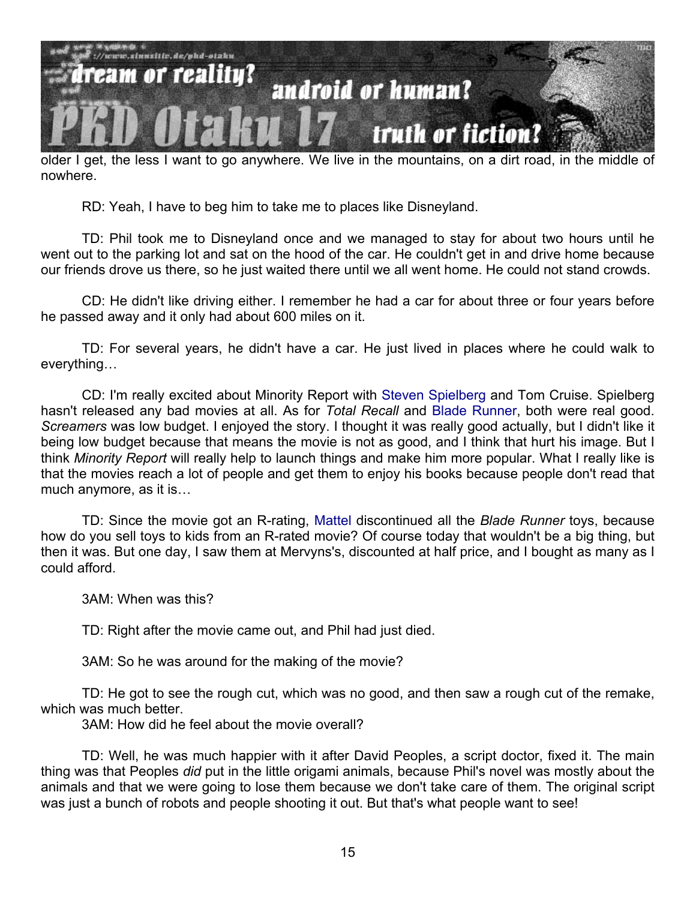

older I get, the less I want to go anywhere. We live in the mountains, on a dirt road, in the middle of nowhere.

RD: Yeah, I have to beg him to take me to places like Disneyland.

TD: Phil took me to Disneyland once and we managed to stay for about two hours until he went out to the parking lot and sat on the hood of the car. He couldn't get in and drive home because our friends drove us there, so he just waited there until we all went home. He could not stand crowds.

CD: He didn't like driving either. I remember he had a car for about three or four years before he passed away and it only had about 600 miles on it.

TD: For several years, he didn't have a car. He just lived in places where he could walk to everything...

CD: I'm really excited about Minority Report with [Steven Spielberg](http://www.spielberg-dreamworks.com/) and Tom Cruise. Spielberg hasn't released any bad movies at all. As for *Total Recall* and [Blade Runner,](http://www.brmovie.com/) both were real good. *Screamers* was low budget. I enjoyed the story. I thought it was really good actually, but I didn't like it being low budget because that means the movie is not as good, and I think that hurt his image. But I think *Minority Report* will really help to launch things and make him more popular. What I really like is that the movies reach a lot of people and get them to enjoy his books because people don't read that much anymore, as it is...

TD: Since the movie got an R-rating, [Mattel](http://www.mattel.com/) discontinued all the *Blade Runner* toys, because how do you sell toys to kids from an R-rated movie? Of course today that wouldn't be a big thing, but then it was. But one day, I saw them at Mervyns's, discounted at half price, and I bought as many as I could afford.

3AM: When was this?

TD: Right after the movie came out, and Phil had just died.

3AM: So he was around for the making of the movie?

TD: He got to see the rough cut, which was no good, and then saw a rough cut of the remake, which was much better.

3AM: How did he feel about the movie overall?

TD: Well, he was much happier with it after David Peoples, a script doctor, fixed it. The main thing was that Peoples *did* put in the little origami animals, because Phil's novel was mostly about the animals and that we were going to lose them because we don't take care of them. The original script was just a bunch of robots and people shooting it out. But that's what people want to see!